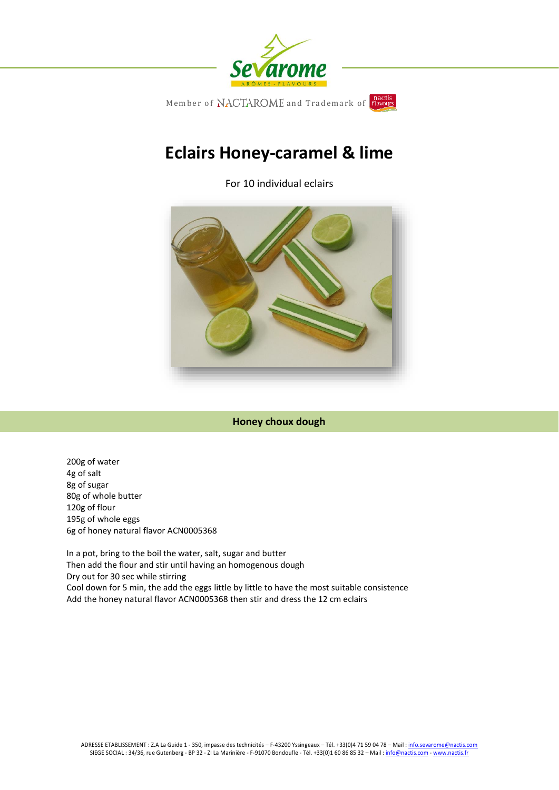

# **Eclairs Honey-caramel & lime**

For 10 individual eclairs



## **Honey choux dough**

200g of water 4g of salt 8g of sugar 80g of whole butter 120g of flour 195g of whole eggs 6g of honey natural flavor ACN0005368

In a pot, bring to the boil the water, salt, sugar and butter Then add the flour and stir until having an homogenous dough Dry out for 30 sec while stirring Cool down for 5 min, the add the eggs little by little to have the most suitable consistence Add the honey natural flavor ACN0005368 then stir and dress the 12 cm eclairs